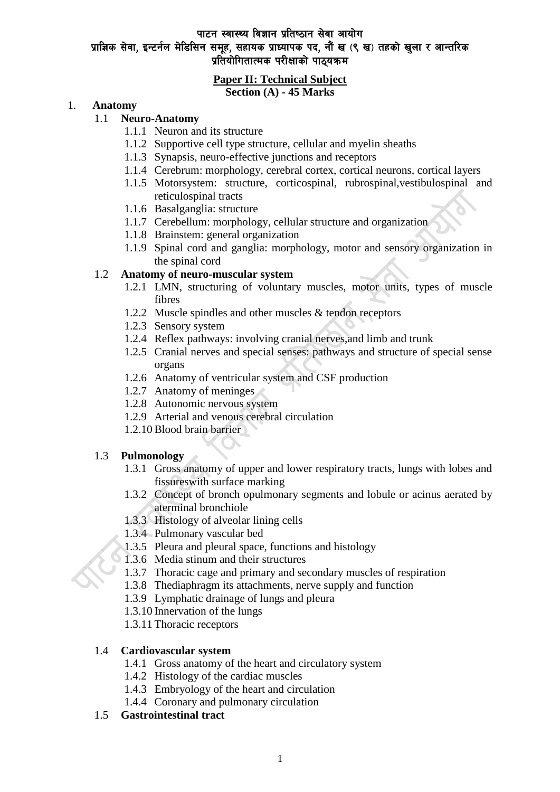# पाटन स्वास्थ्य विज्ञान प्रतिष्ठान सेवा आयोग प्राज्ञिक सेवा, इन्टर्नल मेडिसिन समूह, सहायक प्राध्यापक पद, नौं ख (९ ख) तहको खुला र आन्तरिक प्रतियोगितात्मक परीक्षाको पाठयक्रम

#### **Paper II: Technical Subject Section (A) - 45 Marks**

#### 1. **Anatomy**

### 1.1 **Neuro-Anatomy**

- 1.1.1 Neuron and its structure
- 1.1.2 Supportive cell type structure, cellular and myelin sheaths
- 1.1.3 Synapsis, neuro-effective junctions and receptors
- 1.1.4 Cerebrum: morphology, cerebral cortex, cortical neurons, cortical layers
- 1.1.5 Motorsystem: structure, corticospinal, rubrospinal, vestibulospinal and reticulospinal tracts
- 1.1.6 Basalganglia: structure
- 1.1.7 Cerebellum: morphology, cellular structure and organization
- 1.1.8 Brainstem: general organization
- 1.1.9 Spinal cord and ganglia: morphology, motor and sensory organization in the spinal cord

### 1.2 **Anatomy of neuro-muscular system**

- 1.2.1 LMN, structuring of voluntary muscles, motor units, types of muscle fibres
- 1.2.2 Muscle spindles and other muscles & tendon receptors
- 1.2.3 Sensory system
- 1.2.4 Reflex pathways: involving cranial nerves,and limb and trunk
- 1.2.5 Cranial nerves and special senses: pathways and structure of special sense organs
- 1.2.6 Anatomy of ventricular system and CSF production
- 1.2.7 Anatomy of meninges
- 1.2.8 Autonomic nervous system
- 1.2.9 Arterial and venous cerebral circulation
- 1.2.10 Blood brain barrier

### 1.3 **Pulmonology**

- 1.3.1 Gross anatomy of upper and lower respiratory tracts, lungs with lobes and fissureswith surface marking
- 1.3.2 Concept of bronch opulmonary segments and lobule or acinus aerated by aterminal bronchiole
- 1.3.3 Histology of alveolar lining cells
- 1.3.4 Pulmonary vascular bed
- 1.3.5 Pleura and pleural space, functions and histology
- 1.3.6 Media stinum and their structures
- 1.3.7 Thoracic cage and primary and secondary muscles of respiration
- 1.3.8 Thediaphragm its attachments, nerve supply and function
- 1.3.9 Lymphatic drainage of lungs and pleura
- 1.3.10 Innervation of the lungs
- 1.3.11 Thoracic receptors

#### 1.4 **Cardiovascular system**

- 1.4.1 Gross anatomy of the heart and circulatory system
- 1.4.2 Histology of the cardiac muscles
- 1.4.3 Embryology of the heart and circulation
- 1.4.4 Coronary and pulmonary circulation
- 1.5 **Gastrointestinal tract**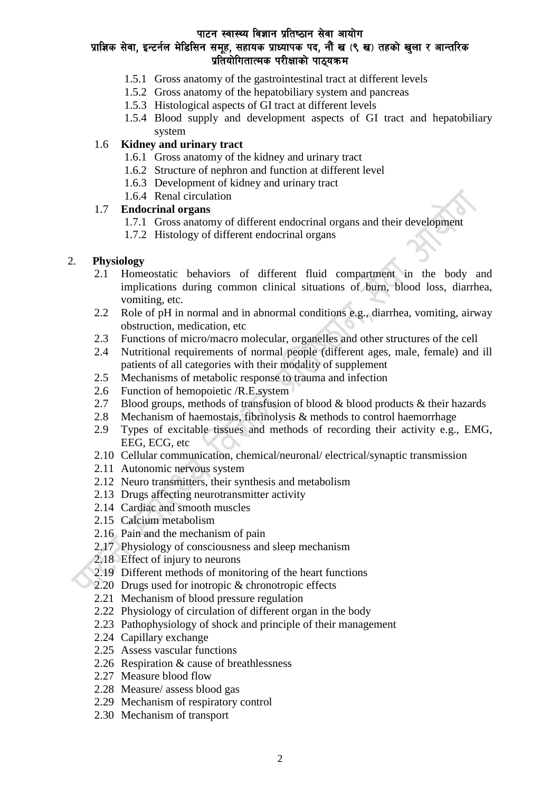### प्राज्ञिक सेवा, इन्टर्नल मेडिसिन समूह, सहायक प्राध्यापक पद, नौं ख (९ ख) तहको खुला र आन्तरिक प्रतियोगितात्मक परीक्षाको पाठयक्रम

- 1.5.1 Gross anatomy of the gastrointestinal tract at different levels
- 1.5.2 Gross anatomy of the hepatobiliary system and pancreas
- 1.5.3 Histological aspects of GI tract at different levels
- 1.5.4 Blood supply and development aspects of GI tract and hepatobiliary system

### 1.6 **Kidney and urinary tract**

- 1.6.1 Gross anatomy of the kidney and urinary tract
- 1.6.2 Structure of nephron and function at different level
- 1.6.3 Development of kidney and urinary tract
- 1.6.4 Renal circulation

### 1.7 **Endocrinal organs**

- 1.7.1 Gross anatomy of different endocrinal organs and their development
- 1.7.2 Histology of different endocrinal organs

### 2. **Physiology**

- 2.1 Homeostatic behaviors of different fluid compartment in the body and implications during common clinical situations of burn, blood loss, diarrhea, vomiting, etc.
- 2.2 Role of pH in normal and in abnormal conditions e.g., diarrhea, vomiting, airway obstruction, medication, etc
- 2.3 Functions of micro/macro molecular, organelles and other structures of the cell
- 2.4 Nutritional requirements of normal people (different ages, male, female) and ill patients of all categories with their modality of supplement
- 2.5 Mechanisms of metabolic response to trauma and infection
- 2.6 Function of hemopoietic /R.E.system
- 2.7 Blood groups, methods of transfusion of blood  $\&$  blood products  $\&$  their hazards
- 2.8 Mechanism of haemostais, fibrinolysis & methods to control haemorrhage
- 2.9 Types of excitable tissues and methods of recording their activity e.g., EMG, EEG, ECG, etc
- 2.10 Cellular communication, chemical/neuronal/ electrical/synaptic transmission
- 2.11 Autonomic nervous system
- 2.12 Neuro transmitters, their synthesis and metabolism
- 2.13 Drugs affecting neurotransmitter activity
- 2.14 Cardiac and smooth muscles
- 2.15 Calcium metabolism
- 2.16 Pain and the mechanism of pain
- 2.17 Physiology of consciousness and sleep mechanism
- 2.18 Effect of injury to neurons
- 2.19 Different methods of monitoring of the heart functions
- 2.20 Drugs used for inotropic & chronotropic effects
- 2.21 Mechanism of blood pressure regulation
- 2.22 Physiology of circulation of different organ in the body
- 2.23 Pathophysiology of shock and principle of their management
- 2.24 Capillary exchange
- 2.25 Assess vascular functions
- 2.26 Respiration & cause of breathlessness
- 2.27 Measure blood flow
- 2.28 Measure/ assess blood gas
- 2.29 Mechanism of respiratory control
- 2.30 Mechanism of transport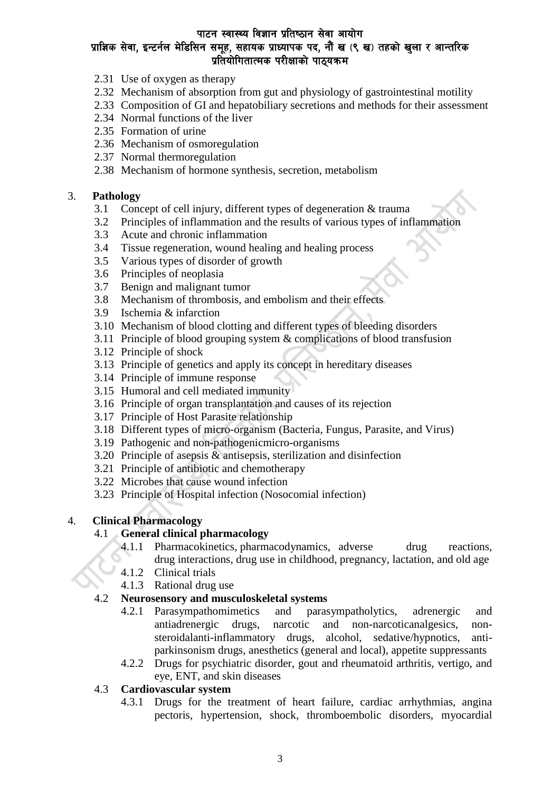# प्राज्ञिक सेवा, इन्टर्नल मेडिसिन समूह, सहायक प्राध्यापक पद, नौं ख (९ ख) तहको खुला र आन्तरिक प्रतियोगितात्मक परीक्षाको पाठयक्रम

- 2.31 Use of oxygen as therapy
- 2.32 Mechanism of absorption from gut and physiology of gastrointestinal motility
- 2.33 Composition of GI and hepatobiliary secretions and methods for their assessment
- 2.34 Normal functions of the liver
- 2.35 Formation of urine
- 2.36 Mechanism of osmoregulation
- 2.37 Normal thermoregulation
- 2.38 Mechanism of hormone synthesis, secretion, metabolism

#### 3. **Pathology**

- 3.1 Concept of cell injury, different types of degeneration & trauma
- 3.2 Principles of inflammation and the results of various types of inflammation
- 3.3 Acute and chronic inflammation
- 3.4 Tissue regeneration, wound healing and healing process
- 3.5 Various types of disorder of growth
- 3.6 Principles of neoplasia
- 3.7 Benign and malignant tumor
- 3.8 Mechanism of thrombosis, and embolism and their effects
- 3.9 Ischemia & infarction
- 3.10 Mechanism of blood clotting and different types of bleeding disorders
- 3.11 Principle of blood grouping system & complications of blood transfusion
- 3.12 Principle of shock
- 3.13 Principle of genetics and apply its concept in hereditary diseases
- 3.14 Principle of immune response
- 3.15 Humoral and cell mediated immunity
- 3.16 Principle of organ transplantation and causes of its rejection
- 3.17 Principle of Host Parasite relationship
- 3.18 Different types of micro-organism (Bacteria, Fungus, Parasite, and Virus)
- 3.19 Pathogenic and non-pathogenicmicro-organisms
- 3.20 Principle of asepsis & antisepsis, sterilization and disinfection
- 3.21 Principle of antibiotic and chemotherapy
- 3.22 Microbes that cause wound infection
- 3.23 Principle of Hospital infection (Nosocomial infection)

### 4. **Clinical Pharmacology**

### 4.1 **General clinical pharmacology**

- 4.1.1 Pharmacokinetics, pharmacodynamics, adverse drug reactions, drug interactions, drug use in childhood, pregnancy, lactation, and old age
- 4.1.2 Clinical trials
- 4.1.3 Rational drug use

### 4.2 **Neurosensory and musculoskeletal systems**

- 4.2.1 Parasympathomimetics and parasympatholytics, adrenergic and antiadrenergic drugs, narcotic and non-narcoticanalgesics, nonsteroidalanti-inflammatory drugs, alcohol, sedative/hypnotics, antiparkinsonism drugs, anesthetics (general and local), appetite suppressants
- 4.2.2 Drugs for psychiatric disorder, gout and rheumatoid arthritis, vertigo, and eye, ENT, and skin diseases

### 4.3 **Cardiovascular system**

4.3.1 Drugs for the treatment of heart failure, cardiac arrhythmias, angina pectoris, hypertension, shock, thromboembolic disorders, myocardial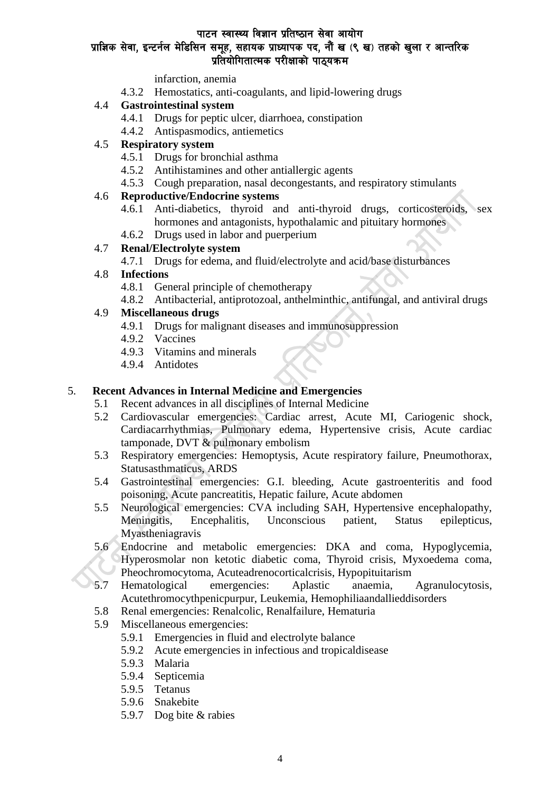# प्राज्ञिक सेवा, इन्टर्नल मेडिसिन समूह, सहायक प्राध्यापक पद, नौं ख (९ ख) तहको खुला र आन्तरिक प्रतियोगितात्मक परीक्षाको पाठयक्रम

infarction, anemia

4.3.2 Hemostatics, anti-coagulants, and lipid-lowering drugs

### 4.4 **Gastrointestinal system**

- 4.4.1 Drugs for peptic ulcer, diarrhoea, constipation
- 4.4.2 Antispasmodics, antiemetics

### 4.5 **Respiratory system**

- 4.5.1 Drugs for bronchial asthma
- 4.5.2 Antihistamines and other antiallergic agents
- 4.5.3 Cough preparation, nasal decongestants, and respiratory stimulants

### 4.6 **Reproductive/Endocrine systems**

- 4.6.1 Anti-diabetics, thyroid and anti-thyroid drugs, corticosteroids, sex hormones and antagonists, hypothalamic and pituitary hormones
- 4.6.2 Drugs used in labor and puerperium

### 4.7 **Renal/Electrolyte system**

4.7.1 Drugs for edema, and fluid/electrolyte and acid/base disturbances

### 4.8 **Infections**

- 4.8.1 General principle of chemotherapy
- 4.8.2 Antibacterial, antiprotozoal, anthelminthic, antifungal, and antiviral drugs

### 4.9 **Miscellaneous drugs**

- 4.9.1 Drugs for malignant diseases and immunosuppression
- 4.9.2 Vaccines
- 4.9.3 Vitamins and minerals
- 4.9.4 Antidotes

# 5. **Recent Advances in Internal Medicine and Emergencies**

- 5.1 Recent advances in all disciplines of Internal Medicine
- 5.2 Cardiovascular emergencies: Cardiac arrest, Acute MI, Cariogenic shock, Cardiacarrhythmias, Pulmonary edema, Hypertensive crisis, Acute cardiac tamponade, DVT & pulmonary embolism
- 5.3 Respiratory emergencies: Hemoptysis, Acute respiratory failure, Pneumothorax, Statusasthmaticus, ARDS
- 5.4 Gastrointestinal emergencies: G.I. bleeding, Acute gastroenteritis and food poisoning, Acute pancreatitis, Hepatic failure, Acute abdomen
- 5.5 Neurological emergencies: CVA including SAH, Hypertensive encephalopathy, Meningitis, Encephalitis, Unconscious patient, Status epilepticus, Myastheniagravis
- 5.6 Endocrine and metabolic emergencies: DKA and coma, Hypoglycemia, Hyperosmolar non ketotic diabetic coma, Thyroid crisis, Myxoedema coma, Pheochromocytoma, Acuteadrenocorticalcrisis, Hypopituitarism
- 5.7 Hematological emergencies: Aplastic anaemia, Agranulocytosis, Acutethromocythpenicpurpur, Leukemia, Hemophiliaandallieddisorders
- 5.8 Renal emergencies: Renalcolic, Renalfailure, Hematuria
- 5.9 Miscellaneous emergencies:
	- 5.9.1 Emergencies in fluid and electrolyte balance
	- 5.9.2 Acute emergencies in infectious and tropicaldisease
	- 5.9.3 Malaria
	- 5.9.4 Septicemia
	- 5.9.5 Tetanus
	- 5.9.6 Snakebite
	- 5.9.7 Dog bite & rabies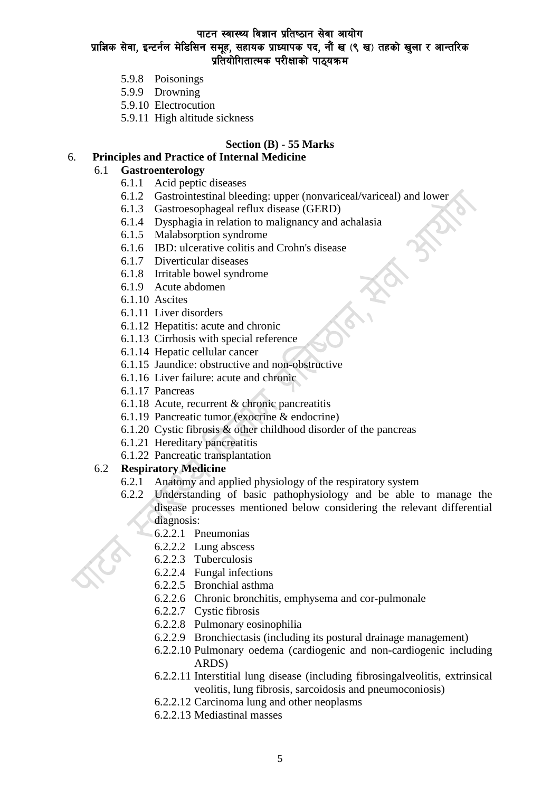#### पाटन स्वास्थ्य विज्ञान प्रतिष्ठान सेवा आयोग प्राज्ञिक सेवा, इन्टर्नल मेडिसिन समूह, सहायक प्राध्यापक पद, नौं ख (९ ख) तहको खुला र आन्तरिक

### प्रतियोगितात्मक परीक्षाको पाठ्यक्रम

- 5.9.8 Poisonings
- 5.9.9 Drowning
- 5.9.10 Electrocution
- 5.9.11 High altitude sickness

#### **Section (B) - 55 Marks**

### 6. **Principles and Practice of Internal Medicine**

#### 6.1 **Gastroenterology**

- 6.1.1 Acid peptic diseases
- 6.1.2 Gastrointestinal bleeding: upper (nonvariceal/variceal) and lower
- 6.1.3 Gastroesophageal reflux disease (GERD)
- 6.1.4 Dysphagia in relation to malignancy and achalasia
- 6.1.5 Malabsorption syndrome
- 6.1.6 IBD: ulcerative colitis and Crohn's disease
- 6.1.7 Diverticular diseases
- 6.1.8 Irritable bowel syndrome
- 6.1.9 Acute abdomen
- 6.1.10 Ascites
- 6.1.11 Liver disorders
- 6.1.12 Hepatitis: acute and chronic
- 6.1.13 Cirrhosis with special reference
- 6.1.14 Hepatic cellular cancer
- 6.1.15 Jaundice: obstructive and non-obstructive
- 6.1.16 Liver failure: acute and chronic
- 6.1.17 Pancreas
- 6.1.18 Acute, recurrent & chronic pancreatitis
- 6.1.19 Pancreatic tumor (exocrine & endocrine)
- 6.1.20 Cystic fibrosis & other childhood disorder of the pancreas
- 6.1.21 Hereditary pancreatitis
- 6.1.22 Pancreatic transplantation

### 6.2 **Respiratory Medicine**

- 6.2.1 Anatomy and applied physiology of the respiratory system
- 6.2.2 Understanding of basic pathophysiology and be able to manage the disease processes mentioned below considering the relevant differential diagnosis:
	- 6.2.2.1 Pneumonias
	- 6.2.2.2 Lung abscess
	- 6.2.2.3 Tuberculosis
	- 6.2.2.4 Fungal infections
	- 6.2.2.5 Bronchial asthma
	- 6.2.2.6 Chronic bronchitis, emphysema and cor-pulmonale
	- 6.2.2.7 Cystic fibrosis
	- 6.2.2.8 Pulmonary eosinophilia
	- 6.2.2.9 Bronchiectasis (including its postural drainage management)
	- 6.2.2.10 Pulmonary oedema (cardiogenic and non-cardiogenic including ARDS)
	- 6.2.2.11 Interstitial lung disease (including fibrosingalveolitis, extrinsical veolitis, lung fibrosis, sarcoidosis and pneumoconiosis)
	- 6.2.2.12 Carcinoma lung and other neoplasms
	- 6.2.2.13 Mediastinal masses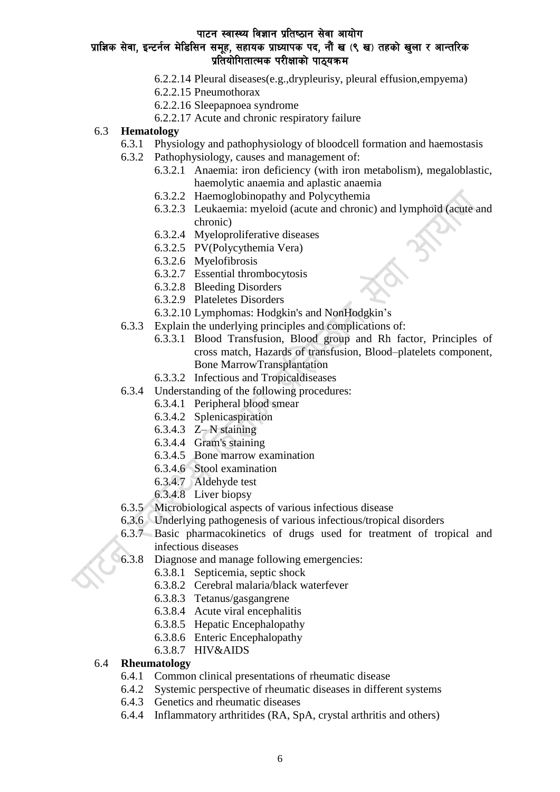### प्राज्ञिक सेवा, इन्टर्नल मेडिसिन समूह, सहायक प्राध्यापक पद, नौं ख (९ ख) तहको खुला र आन्तरिक प्रतियोगितात्मक परीक्षाको पाठ्यक्रम

- 6.2.2.14 Pleural diseases(e.g.,drypleurisy, pleural effusion,empyema)
- 6.2.2.15 Pneumothorax
- 6.2.2.16 Sleepapnoea syndrome
- 6.2.2.17 Acute and chronic respiratory failure
- 6.3 **Hematology**
	- 6.3.1 Physiology and pathophysiology of bloodcell formation and haemostasis
	- 6.3.2 Pathophysiology, causes and management of:
		- 6.3.2.1 Anaemia: iron deficiency (with iron metabolism), megaloblastic, haemolytic anaemia and aplastic anaemia
		- 6.3.2.2 Haemoglobinopathy and Polycythemia
		- 6.3.2.3 Leukaemia: myeloid (acute and chronic) and lymphoid (acute and chronic)
		- 6.3.2.4 Myeloproliferative diseases
		- 6.3.2.5 PV(Polycythemia Vera)
		- 6.3.2.6 Myelofibrosis
		- 6.3.2.7 Essential thrombocytosis
		- 6.3.2.8 Bleeding Disorders
		- 6.3.2.9 Plateletes Disorders
		- 6.3.2.10 Lymphomas: Hodgkin's and NonHodgkin's
	- 6.3.3 Explain the underlying principles and complications of:
		- 6.3.3.1 Blood Transfusion, Blood group and Rh factor, Principles of cross match, Hazards of transfusion, Blood–platelets component, Bone MarrowTransplantation
		- 6.3.3.2 Infectious and Tropicaldiseases
	- 6.3.4 Understanding of the following procedures:
		- 6.3.4.1 Peripheral blood smear
		- 6.3.4.2 Splenicaspiration
		- 6.3.4.3 Z– N staining
		- 6.3.4.4 Gram's staining
		- 6.3.4.5 Bone marrow examination
		- 6.3.4.6 Stool examination
		- 6.3.4.7 Aldehyde test
		- 6.3.4.8 Liver biopsy
	- 6.3.5 Microbiological aspects of various infectious disease
	- 6.3.6 Underlying pathogenesis of various infectious/tropical disorders
	- 6.3.7 Basic pharmacokinetics of drugs used for treatment of tropical and infectious diseases
	- 6.3.8 Diagnose and manage following emergencies:
		- 6.3.8.1 Septicemia, septic shock
		- 6.3.8.2 Cerebral malaria/black waterfever
		- 6.3.8.3 Tetanus/gasgangrene
		- 6.3.8.4 Acute viral encephalitis
		- 6.3.8.5 Hepatic Encephalopathy
		- 6.3.8.6 Enteric Encephalopathy
		- 6.3.8.7 HIV&AIDS

#### 6.4 **Rheumatology**

- 6.4.1 Common clinical presentations of rheumatic disease
- 6.4.2 Systemic perspective of rheumatic diseases in different systems
- 6.4.3 Genetics and rheumatic diseases
- 6.4.4 Inflammatory arthritides (RA, SpA, crystal arthritis and others)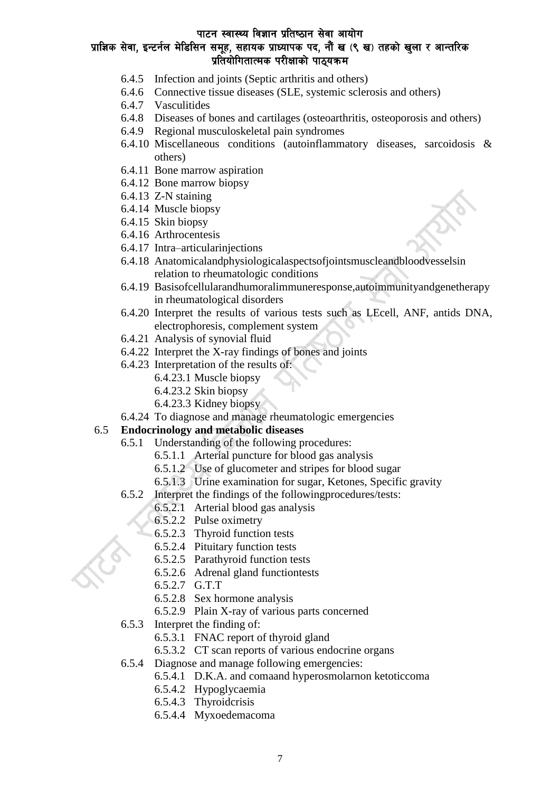# प्राज्ञिक सेवा, इन्टर्नल मेडिसिन समूह, सहायक प्राध्यापक पद, नौं ख (९ ख) तहको खुला र आन्तरिक प्रतियोगितात्मक परीक्षाको पाठयक्रम

- 6.4.5 Infection and joints (Septic arthritis and others)
- 6.4.6 Connective tissue diseases (SLE, systemic sclerosis and others)
- 6.4.7 Vasculitides
- 6.4.8 Diseases of bones and cartilages (osteoarthritis, osteoporosis and others)
- 6.4.9 Regional musculoskeletal pain syndromes
- 6.4.10 Miscellaneous conditions (autoinflammatory diseases, sarcoidosis & others)
- 6.4.11 Bone marrow aspiration
- 6.4.12 Bone marrow biopsy
- 6.4.13 Z-N staining
- 6.4.14 Muscle biopsy
- 6.4.15 Skin biopsy
- 6.4.16 Arthrocentesis
- 6.4.17 Intra–articularinjections
- 6.4.18 Anatomicalandphysiologicalaspectsofjointsmuscleandbloodvesselsin relation to rheumatologic conditions
- 6.4.19 Basisofcellularandhumoralimmuneresponse,autoimmunityandgenetherapy in rheumatological disorders
- 6.4.20 Interpret the results of various tests such as LEcell, ANF, antids DNA, electrophoresis, complement system
- 6.4.21 Analysis of synovial fluid
- 6.4.22 Interpret the X-ray findings of bones and joints
- 6.4.23 Interpretation of the results of:
	- 6.4.23.1 Muscle biopsy
	- 6.4.23.2 Skin biopsy
	- 6.4.23.3 Kidney biopsy
- 6.4.24 To diagnose and manage rheumatologic emergencies

### 6.5 **Endocrinology and metabolic diseases**

- 6.5.1 Understanding of the following procedures:
	- 6.5.1.1 Arterial puncture for blood gas analysis
	- 6.5.1.2 Use of glucometer and stripes for blood sugar
	- 6.5.1.3 Urine examination for sugar, Ketones, Specific gravity
	- 6.5.2 Interpret the findings of the followingprocedures/tests:
		- 6.5.2.1 Arterial blood gas analysis
		- 6.5.2.2 Pulse oximetry
		- 6.5.2.3 Thyroid function tests
		- 6.5.2.4 Pituitary function tests
		- 6.5.2.5 Parathyroid function tests
		- 6.5.2.6 Adrenal gland functiontests
		- 6.5.2.7 G.T.T
		- 6.5.2.8 Sex hormone analysis
		- 6.5.2.9 Plain X-ray of various parts concerned
	- 6.5.3 Interpret the finding of:
		- 6.5.3.1 FNAC report of thyroid gland
		- 6.5.3.2 CT scan reports of various endocrine organs
	- 6.5.4 Diagnose and manage following emergencies:
		- 6.5.4.1 D.K.A. and comaand hyperosmolarnon ketoticcoma
		- 6.5.4.2 Hypoglycaemia
		- 6.5.4.3 Thyroidcrisis
		- 6.5.4.4 Myxoedemacoma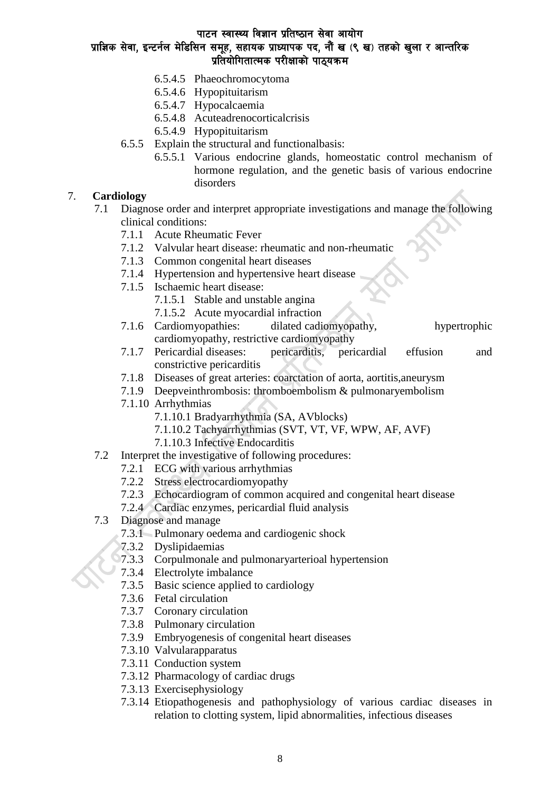# प्राज्ञिक सेवा, इन्टर्नल मेडिसिन समूह, सहायक प्राध्यापक पद, नौं ख (९ ख) तहको खुला र आन्तरिक प्रतियोगितात्मक परीक्षाको पाठयक्रम

- 6.5.4.5 Phaeochromocytoma
- 6.5.4.6 Hypopituitarism
- 6.5.4.7 Hypocalcaemia
- 6.5.4.8 Acuteadrenocorticalcrisis
- 6.5.4.9 Hypopituitarism
- 6.5.5 Explain the structural and functionalbasis:
	- 6.5.5.1 Various endocrine glands, homeostatic control mechanism of hormone regulation, and the genetic basis of various endocrine disorders

### 7. **Cardiology**

- 7.1 Diagnose order and interpret appropriate investigations and manage the following clinical conditions:
	- 7.1.1 Acute Rheumatic Fever
	- 7.1.2 Valvular heart disease: rheumatic and non-rheumatic
	- 7.1.3 Common congenital heart diseases
	- 7.1.4 Hypertension and hypertensive heart disease
	- 7.1.5 Ischaemic heart disease:
		- 7.1.5.1 Stable and unstable angina
		- 7.1.5.2 Acute myocardial infraction
	- 7.1.6 Cardiomyopathies: dilated cadiomyopathy, hypertrophic cardiomyopathy, restrictive cardiomyopathy
	- 7.1.7 Pericardial diseases: pericarditis, pericardial effusion and constrictive pericarditis
	- 7.1.8 Diseases of great arteries: coarctation of aorta, aortitis,aneurysm
	- 7.1.9 Deepveinthrombosis: thromboembolism & pulmonaryembolism
	- 7.1.10 Arrhythmias
		- 7.1.10.1 Bradyarrhythmia (SA, AVblocks)
		- 7.1.10.2 Tachyarrhythmias (SVT, VT, VF, WPW, AF, AVF)
		- 7.1.10.3 Infective Endocarditis
- 7.2 Interpret the investigative of following procedures:
	- 7.2.1 ECG with various arrhythmias
	- 7.2.2 Stress electrocardiomyopathy
	- 7.2.3 Echocardiogram of common acquired and congenital heart disease
	- 7.2.4 Cardiac enzymes, pericardial fluid analysis
- 7.3 Diagnose and manage
	- 7.3.1 Pulmonary oedema and cardiogenic shock
	- 7.3.2 Dyslipidaemias
	- 7.3.3 Corpulmonale and pulmonaryarterioal hypertension
	- 7.3.4 Electrolyte imbalance
	- 7.3.5 Basic science applied to cardiology
	- 7.3.6 Fetal circulation
	- 7.3.7 Coronary circulation
	- 7.3.8 Pulmonary circulation
	- 7.3.9 Embryogenesis of congenital heart diseases
	- 7.3.10 Valvularapparatus
	- 7.3.11 Conduction system
	- 7.3.12 Pharmacology of cardiac drugs
	- 7.3.13 Exercisephysiology
	- 7.3.14 Etiopathogenesis and pathophysiology of various cardiac diseases in relation to clotting system, lipid abnormalities, infectious diseases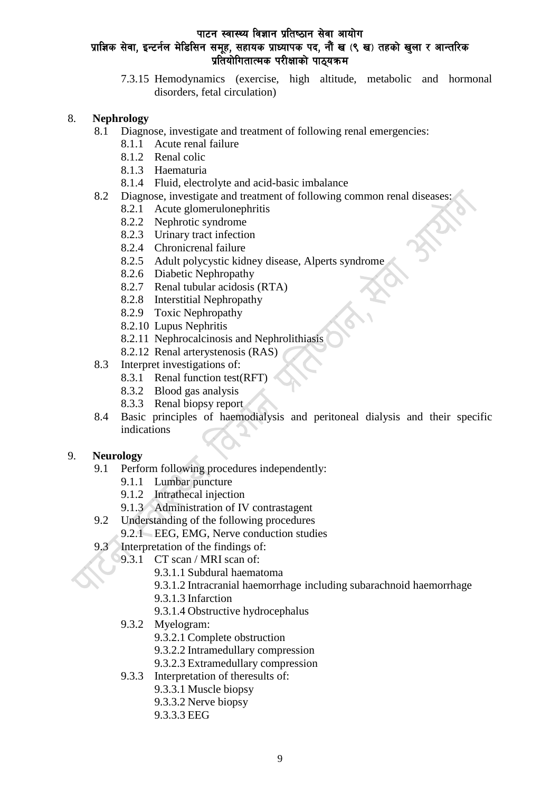### पाटन स्वास्थ्य विज्ञान प्रतिष्ठान सेवा आयोग प्राज्ञिक सेवा, इन्टर्नल मेडिसिन समूह, सहायक प्राध्यापक पद, नौं ख (९ ख) तहको खुला र आन्तरिक प्रतियोगितात्मक परीक्षाको पाठ्यक्रम

7.3.15 Hemodynamics (exercise, high altitude, metabolic and hormonal disorders, fetal circulation)

#### 8. **Nephrology**

- 8.1 Diagnose, investigate and treatment of following renal emergencies:
	- 8.1.1 Acute renal failure
	- 8.1.2 Renal colic
	- 8.1.3 Haematuria
	- 8.1.4 Fluid, electrolyte and acid-basic imbalance
- 8.2 Diagnose, investigate and treatment of following common renal diseases:
	- 8.2.1 Acute glomerulonephritis
	- 8.2.2 Nephrotic syndrome
	- 8.2.3 Urinary tract infection
	- 8.2.4 Chronicrenal failure
	- 8.2.5 Adult polycystic kidney disease, Alperts syndrome
	- 8.2.6 Diabetic Nephropathy
	- 8.2.7 Renal tubular acidosis (RTA)
	- 8.2.8 Interstitial Nephropathy
	- 8.2.9 Toxic Nephropathy
	- 8.2.10 Lupus Nephritis
	- 8.2.11 Nephrocalcinosis and Nephrolithiasis
	- 8.2.12 Renal arterystenosis (RAS)
- 8.3 Interpret investigations of:
	- 8.3.1 Renal function test(RFT)
	- 8.3.2 Blood gas analysis
	- 8.3.3 Renal biopsy report
- 8.4 Basic principles of haemodialysis and peritoneal dialysis and their specific indications

### 9. **Neurology**

- 9.1 Perform following procedures independently:
	- 9.1.1 Lumbar puncture
	- 9.1.2 Intrathecal injection
	- 9.1.3 Administration of IV contrastagent
- 9.2 Understanding of the following procedures
	- 9.2.1 EEG, EMG, Nerve conduction studies
- 9.3 Interpretation of the findings of:
	- 9.3.1 CT scan / MRI scan of:
		- 9.3.1.1 Subdural haematoma
		- 9.3.1.2 Intracranial haemorrhage including subarachnoid haemorrhage
		- 9.3.1.3 Infarction
		- 9.3.1.4 Obstructive hydrocephalus
	- 9.3.2 Myelogram:
		- 9.3.2.1 Complete obstruction
		- 9.3.2.2 Intramedullary compression
		- 9.3.2.3 Extramedullary compression
	- 9.3.3 Interpretation of theresults of:
		- 9.3.3.1 Muscle biopsy
			- 9.3.3.2 Nerve biopsy
			- 9.3.3.3 EEG